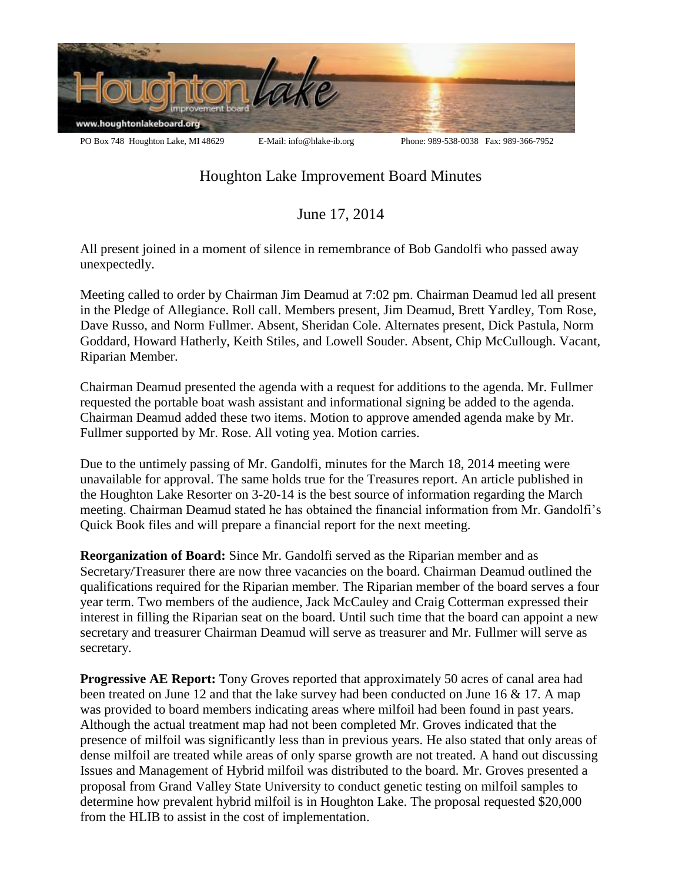

## Houghton Lake Improvement Board Minutes

June 17, 2014

All present joined in a moment of silence in remembrance of Bob Gandolfi who passed away unexpectedly.

Meeting called to order by Chairman Jim Deamud at 7:02 pm. Chairman Deamud led all present in the Pledge of Allegiance. Roll call. Members present, Jim Deamud, Brett Yardley, Tom Rose, Dave Russo, and Norm Fullmer. Absent, Sheridan Cole. Alternates present, Dick Pastula, Norm Goddard, Howard Hatherly, Keith Stiles, and Lowell Souder. Absent, Chip McCullough. Vacant, Riparian Member.

Chairman Deamud presented the agenda with a request for additions to the agenda. Mr. Fullmer requested the portable boat wash assistant and informational signing be added to the agenda. Chairman Deamud added these two items. Motion to approve amended agenda make by Mr. Fullmer supported by Mr. Rose. All voting yea. Motion carries.

Due to the untimely passing of Mr. Gandolfi, minutes for the March 18, 2014 meeting were unavailable for approval. The same holds true for the Treasures report. An article published in the Houghton Lake Resorter on 3-20-14 is the best source of information regarding the March meeting. Chairman Deamud stated he has obtained the financial information from Mr. Gandolfi's Quick Book files and will prepare a financial report for the next meeting.

**Reorganization of Board:** Since Mr. Gandolfi served as the Riparian member and as Secretary/Treasurer there are now three vacancies on the board. Chairman Deamud outlined the qualifications required for the Riparian member. The Riparian member of the board serves a four year term. Two members of the audience, Jack McCauley and Craig Cotterman expressed their interest in filling the Riparian seat on the board. Until such time that the board can appoint a new secretary and treasurer Chairman Deamud will serve as treasurer and Mr. Fullmer will serve as secretary.

**Progressive AE Report:** Tony Groves reported that approximately 50 acres of canal area had been treated on June 12 and that the lake survey had been conducted on June 16 & 17. A map was provided to board members indicating areas where milfoil had been found in past years. Although the actual treatment map had not been completed Mr. Groves indicated that the presence of milfoil was significantly less than in previous years. He also stated that only areas of dense milfoil are treated while areas of only sparse growth are not treated. A hand out discussing Issues and Management of Hybrid milfoil was distributed to the board. Mr. Groves presented a proposal from Grand Valley State University to conduct genetic testing on milfoil samples to determine how prevalent hybrid milfoil is in Houghton Lake. The proposal requested \$20,000 from the HLIB to assist in the cost of implementation.